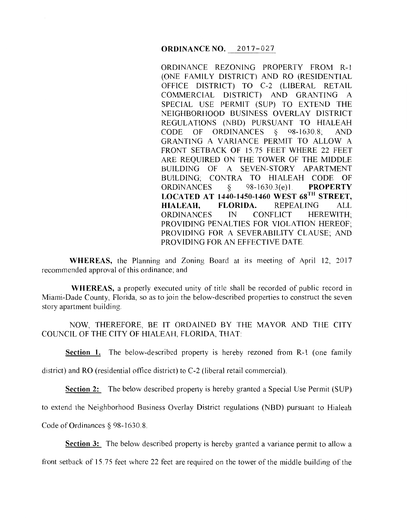ORDINANCE REZONING PROPERTY FROM R-1 (ONE FAMILY DISTRICT) AND RO (RESIDENTIAL OFFICE DISTRICT) TO C-2 (LIBERAL RETAIL COMMERCIAL DISTRICT) AND GRANTING A SPECIAL USE PERMIT (SUP) TO EXTEND THE NEIGHBORHOOD BUSINESS OVERLAY DISTRICT REGULATIONS (NBD) PURSUANT TO HIALEAH CODE OF ORDINANCES *§* 98-1630.8; AND GRANTING A VARIANCE PERMIT TO ALLOW A FRONT SETBACK OF 15.75 FEET WHERE 22 FEET ARE REQUIRED ON THE TOWER OF THE MIDDLE BUILDING OF A SEVEN-STORY APARTMENT BUILDING; CONTRA TO HIALEAH CODE OF ORDINANCES § 98-1630.3(e)l. **PROPERTY LOCATED AT 1440-1450-1460 WEST 68TH STREET, HIALEAH, FLORIDA.** REPEALING ALL ORDINANCES IN CONFLICT HEREWITH; PROVIDING PENALTIES FOR VIOLATION HEREOF; PROVIDING FOR A SEVERABILITY CLAUSE; AND PROVIDING FOR AN EFFECTIVE DATE.

**WHEREAS,** the Planning and Zoning Board at its meeting of April 12, 2017 recommended approval of this ordinance; and

**WHEREAS,** a properly executed unity of title shall be recorded of public record in Miami-Dade County, Florida, so as to join the below-described properties to construct the seven story apartment building.

NOW, THEREFORE, BE IT ORDAINED BY THE MAYOR AND THE CITY COUNCIL OF THE CITY OF HIALEAH, FLORIDA, THAT:

**Section 1.** The below-described property is hereby rezoned from R-1 (one family

district) and RO (residential office district) to C-2 (liberal retail commercial).

**Section 2:** The below described property is hereby granted a Special Use Permit (SUP)

to extend the Neighborhood Business Overlay District regulations (NBD) pursuant to Hialeah

Code of Ordinances § 98-1630.8.

**Section 3:** The below described property is hereby granted a variance permit to allow a

front setback of 15.75 feet where 22 feet are required on the tower of the middle building of the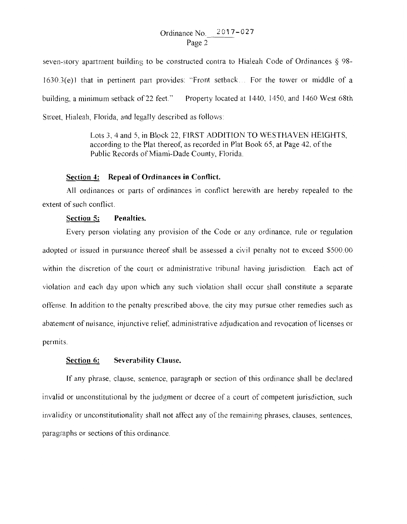Ordinance No. 2017-027 Page 2

seven-story apartment building to be constructed contra to Hialeah Code of Ordinances § 98-  $1630.3(e)$  that in pertinent part provides: "Front setback... For the tower or middle of a building, a minimum setback of 22 feet." Property located at 1440, 1450, and 1460 West 68th Street, Hialeah, Florida, and legally described as follows:

> Lots 3, 4 and 5, in Block 22, FIRST ADDITION TO WESTHAVEN HEIGHTS, according to the Plat thereof, as recorded in Plat Book 65, at Page 42, of the Public Records of Miami-Dade County, Florida.

## **Section 4: Repeal of Ordinances in Conflict.**

All ordinances or parts of ordinances in conflict herewith are hereby repealed to the extent of such conflict.

## **Section 5: Penalties.**

Every person violating any provision of the Code or any ordinance, rule or regulation adopted or issued in pursuance thereof shall be assessed a civil penalty not to exceed \$500.00 within the discretion of the court or administrative tribunal having jurisdiction. Each act of violation and each day upon which any such violation shall occur shall constitute a separate offense. In addition to the penalty prescribed above, the city may pursue other remedies such as abatement of nuisance, injunctive relief, administrative adjudication and revocation of licenses or permits.

## **Section 6: Severability Clause.**

If any phrase, clause, sentence, paragraph or section of this ordinance shall be declared invalid or unconstitutional by the judgment or decree of a court of competent jurisdiction, such invalidity or unconstitutionality shall not affect any of the remaining phrases, clauses, sentences, paragraphs or sections of this ordinance.